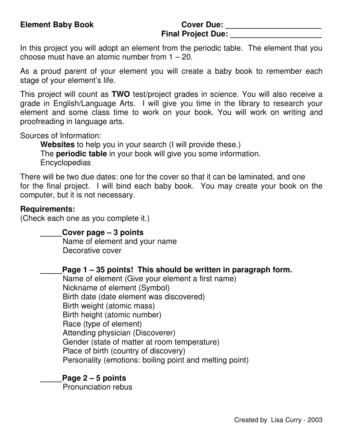# **Final Project Due: \_\_\_\_\_\_\_\_\_\_\_\_\_\_\_\_\_\_\_\_\_**

In this project you will adopt an element from the periodic table. The element that you choose must have an atomic number from 1 – 20.

As a proud parent of your element you will create a baby book to remember each stage of your element's life.

This project will count as **TWO** test/project grades in science. You will also receive a grade in English/Language Arts. I will give you time in the library to research your element and some class time to work on your book. You will work on writing and proofreading in language arts.

Sources of Information:

**Websites** to help you in your search (I will provide these.) The **periodic table** in your book will give you some information. Encyclopedias

There will be two due dates: one for the cover so that it can be laminated, and one for the final project. I will bind each baby book. You may create your book on the computer, but it is not necessary.

#### **Requirements:**

(Check each one as you complete it.)

**\_\_\_\_\_Cover page – 3 points**

Name of element and your name Decorative cover

**\_\_\_\_\_Page 1 – 35 points! This should be written in paragraph form.**

Name of element (Give your element a first name) Nickname of element (Symbol) Birth date (date element was discovered) Birth weight (atomic mass) Birth height (atomic number) Race (type of element) Attending physician (Discoverer) Gender (state of matter at room temperature) Place of birth (country of discovery) Personality (emotions: boiling point and melting point)

#### **\_\_\_\_\_Page 2 – 5 points**

Pronunciation rebus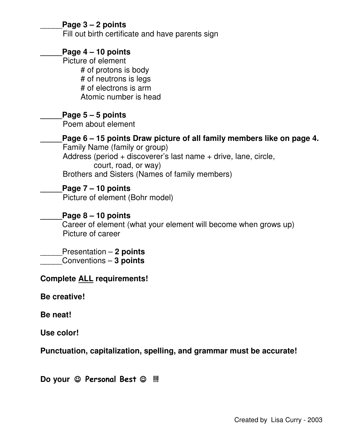#### \_\_\_\_\_**Page 3 – 2 points**

Fill out birth certificate and have parents sign

#### **\_\_\_\_\_Page 4 – 10 points**

Picture of element # of protons is body # of neutrons is legs # of electrons is arm Atomic number is head

#### **\_\_\_\_\_Page 5 – 5 points**

Poem about element

**\_\_\_\_\_Page 6 – 15 points Draw picture of all family members like on page 4.** Family Name (family or group) Address (period + discoverer's last name + drive, lane, circle, court, road, or way) Brothers and Sisters (Names of family members)

**\_\_\_\_\_Page 7 – 10 points** Picture of element (Bohr model)

#### **\_\_\_\_\_Page 8 – 10 points**

Career of element (what your element will become when grows up) Picture of career

## \_\_\_\_\_Presentation – **2 points**

\_\_\_\_\_Conventions – **3 points**

#### **Complete ALL requirements!**

**Be creative!**

**Be neat!**

**Use color!**

**Punctuation, capitalization, spelling, and grammar must be accurate!**

Do your  $\odot$  Personal Best  $\odot$  !!!